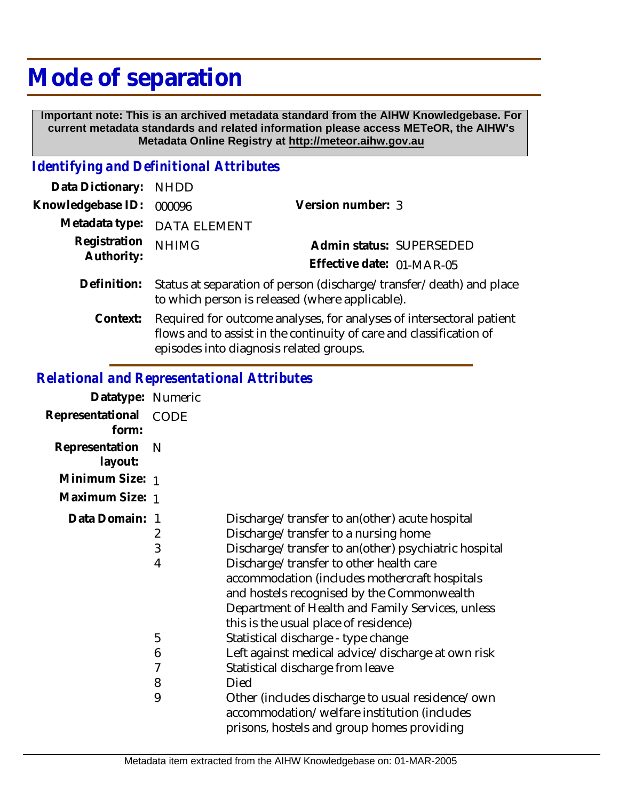# **Mode of separation**

 **Important note: This is an archived metadata standard from the AIHW Knowledgebase. For current metadata standards and related information please access METeOR, the AIHW's Metadata Online Registry at http://meteor.aihw.gov.au**

### *Identifying and Definitional Attributes*

| Data Dictionary:           | <b>NHDD</b>                                                                                                                                 |                           |  |
|----------------------------|---------------------------------------------------------------------------------------------------------------------------------------------|---------------------------|--|
| Knowledgebase ID:          | 000096                                                                                                                                      | Version number: 3         |  |
| Metadata type:             | <b>DATA ELEMENT</b>                                                                                                                         |                           |  |
| Registration<br>Authority: | <b>NHIMG</b>                                                                                                                                | Admin status: SUPERSEDED  |  |
|                            |                                                                                                                                             | Effective date: 01-MAR-05 |  |
| Definition:                | Status at separation of person (discharge/transfer/death) and place<br>to which person is released (where applicable).                      |                           |  |
| Context:                   | Required for outcome analyses, for analyses of intersectoral patient<br>flows and to assist in the continuity of care and classification of |                           |  |

episodes into diagnosis related groups.

#### *Relational and Representational Attributes*

| Datatype: Numeric         |                                             |                                                                                                                                                                                                                                                                                                                                                                                                                                                                                                                                                                                                                                                                                |
|---------------------------|---------------------------------------------|--------------------------------------------------------------------------------------------------------------------------------------------------------------------------------------------------------------------------------------------------------------------------------------------------------------------------------------------------------------------------------------------------------------------------------------------------------------------------------------------------------------------------------------------------------------------------------------------------------------------------------------------------------------------------------|
| Representational<br>form: | <b>CODE</b>                                 |                                                                                                                                                                                                                                                                                                                                                                                                                                                                                                                                                                                                                                                                                |
| Representation<br>layout: | N                                           |                                                                                                                                                                                                                                                                                                                                                                                                                                                                                                                                                                                                                                                                                |
| Minimum Size: 1           |                                             |                                                                                                                                                                                                                                                                                                                                                                                                                                                                                                                                                                                                                                                                                |
| Maximum Size: 1           |                                             |                                                                                                                                                                                                                                                                                                                                                                                                                                                                                                                                                                                                                                                                                |
| Data Domain:              | - 1<br>2<br>3<br>4<br>5<br>6<br>7<br>8<br>9 | Discharge/transfer to an(other) acute hospital<br>Discharge/transfer to a nursing home<br>Discharge/transfer to an(other) psychiatric hospital<br>Discharge/transfer to other health care<br>accommodation (includes mothercraft hospitals<br>and hostels recognised by the Commonwealth<br>Department of Health and Family Services, unless<br>this is the usual place of residence)<br>Statistical discharge - type change<br>Left against medical advice/discharge at own risk<br>Statistical discharge from leave<br>Died<br>Other (includes discharge to usual residence/own<br>accommodation/welfare institution (includes<br>prisons, hostels and group homes providing |